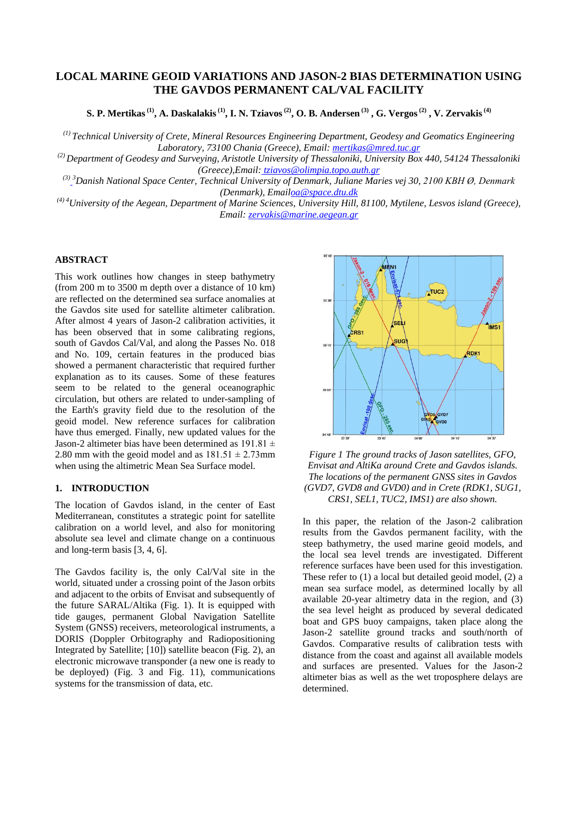# **LOCAL MARINE GEOID VARIATIONS AND JASON-2 BIAS DETERMINATION USING THE GAVDOS PERMANENT CAL/VAL FACILITY**

S. P. Mertikas  $^{(1)},$  A. Daskalakis  $^{(1)},$  I. N. Tziavos  $^{(2)},$  O. B. Andersen  $^{(3)},$  G. Vergos  $^{(2)},$  V. Zervakis  $^{(4)}$ 

*(1) Technical University of Crete, Mineral Resources Engineering Department, Geodesy and Geomatics Engineering Laboratory, 73100 Chania (Greece), Email: [mertikas@mred.tuc.gr](mailto:mertikas@mred.tuc.gr)*

*(2) Department of Geodesy and Surveying, Aristotle University of Thessaloniki, University Box 440, 54124 Thessaloniki (Greece),Email: [tziavos@olimpia.topo.auth.gr](mailto:tziavos@olimpia.topo.auth.gr)*

*(3) <sup>3</sup>Danish National Space Center, Technical University of Denmark, Juliane Maries vej 30, 2100 KBH Ø, Denmark (Denmark), Emai[loa@space.dtu.dk](mailto:oa@space.dtu.dk)*

*(4) 4University of the Aegean, Department of Marine Sciences, University Hill, 81100, Mytilene, Lesvos island (Greece), Email: [zervakis@marine.aegean.gr](mailto:zervakis@marine.aegean.gr)*

#### **ABSTRACT**

This work outlines how changes in steep bathymetry (from 200 m to 3500 m depth over a distance of 10 km) are reflected on the determined sea surface anomalies at the Gavdos site used for satellite altimeter calibration. After almost 4 years of Jason-2 calibration activities, it has been observed that in some calibrating regions, south of Gavdos Cal/Val, and along the Passes No. 018 and No. 109, certain features in the produced bias showed a permanent characteristic that required further explanation as to its causes. Some of these features seem to be related to the general oceanographic circulation, but others are related to under-sampling of the Earth's gravity field due to the resolution of the geoid model. New reference surfaces for calibration have thus emerged. Finally, new updated values for the Jason-2 altimeter bias have been determined as  $191.81 \pm$ 2.80 mm with the geoid model and as  $181.51 \pm 2.73$  mm when using the altimetric Mean Sea Surface model.

### **1. INTRODUCTION**

The location of Gavdos island, in the center of East Mediterranean, constitutes a strategic point for satellite calibration on a world level, and also for monitoring absolute sea level and climate change on a continuous and long-term basis [3, 4, 6].

The Gavdos facility is, the only Cal/Val site in the world, situated under a crossing point of the Jason orbits and adjacent to the orbits of Envisat and subsequently of the future SARAL/Altika (Fig. 1). It is equipped with tide gauges, permanent Global Navigation Satellite System (GNSS) receivers, meteorological instruments, a DORIS (Doppler Orbitography and Radiopositioning Integrated by Satellite; [10]) satellite beacon (Fig. 2), an electronic microwave transponder (a new one is ready to be deployed) (Fig. 3 and Fig. 11), communications systems for the transmission of data, etc.



*Figure 1 The ground tracks of Jason satellites, GFO, Envisat and AltiKa around Crete and Gavdos islands. The locations of the permanent GNSS sites in Gavdos (GVD7, GVD8 and GVD0) and in Crete (RDK1, SUG1, CRS1, SEL1, TUC2, IMS1) are also shown.*

In this paper, the relation of the Jason-2 calibration results from the Gavdos permanent facility, with the steep bathymetry, the used marine geoid models, and the local sea level trends are investigated. Different reference surfaces have been used for this investigation. These refer to (1) a local but detailed geoid model, (2) a mean sea surface model, as determined locally by all available 20-year altimetry data in the region, and (3) the sea level height as produced by several dedicated boat and GPS buoy campaigns, taken place along the Jason-2 satellite ground tracks and south/north of Gavdos. Comparative results of calibration tests with distance from the coast and against all available models and surfaces are presented. Values for the Jason-2 altimeter bias as well as the wet troposphere delays are determined.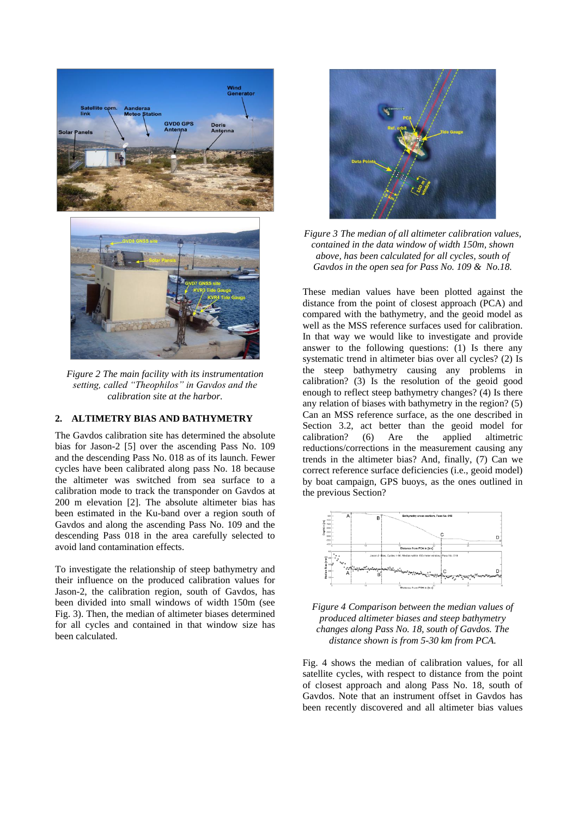

*Figure 2 The main facility with its instrumentation setting, called "Theophilos" in Gavdos and the calibration site at the harbor.*

#### **2. ALTIMETRY BIAS AND BATHYMETRY**

The Gavdos calibration site has determined the absolute bias for Jason-2 [5] over the ascending Pass No. 109 and the descending Pass No. 018 as of its launch. Fewer cycles have been calibrated along pass No. 18 because the altimeter was switched from sea surface to a calibration mode to track the transponder on Gavdos at 200 m elevation [2]. The absolute altimeter bias has been estimated in the Ku-band over a region south of Gavdos and along the ascending Pass No. 109 and the descending Pass 018 in the area carefully selected to avoid land contamination effects.

To investigate the relationship of steep bathymetry and their influence on the produced calibration values for Jason-2, the calibration region, south of Gavdos, has been divided into small windows of width 150m (see Fig. 3). Then, the median of altimeter biases determined for all cycles and contained in that window size has been calculated.



*Figure 3 The median of all altimeter calibration values, contained in the data window of width 150m, shown above, has been calculated for all cycles, south of Gavdos in the open sea for Pass No. 109 & No.18.*

These median values have been plotted against the distance from the point of closest approach (PCA) and compared with the bathymetry, and the geoid model as well as the MSS reference surfaces used for calibration. In that way we would like to investigate and provide answer to the following questions: (1) Is there any systematic trend in altimeter bias over all cycles? (2) Is the steep bathymetry causing any problems in calibration? (3) Is the resolution of the geoid good enough to reflect steep bathymetry changes? (4) Is there any relation of biases with bathymetry in the region? (5) Can an MSS reference surface, as the one described in Section 3.2, act better than the geoid model for calibration? (6) Are the applied altimetric reductions/corrections in the measurement causing any trends in the altimeter bias? And, finally, (7) Can we correct reference surface deficiencies (i.e., geoid model) by boat campaign, GPS buoys, as the ones outlined in the previous Section?



*Figure 4 Comparison between the median values of produced altimeter biases and steep bathymetry changes along Pass No. 18, south of Gavdos. The distance shown is from 5-30 km from PCA.*

Fig. 4 shows the median of calibration values, for all satellite cycles, with respect to distance from the point of closest approach and along Pass No. 18, south of Gavdos. Note that an instrument offset in Gavdos has been recently discovered and all altimeter bias values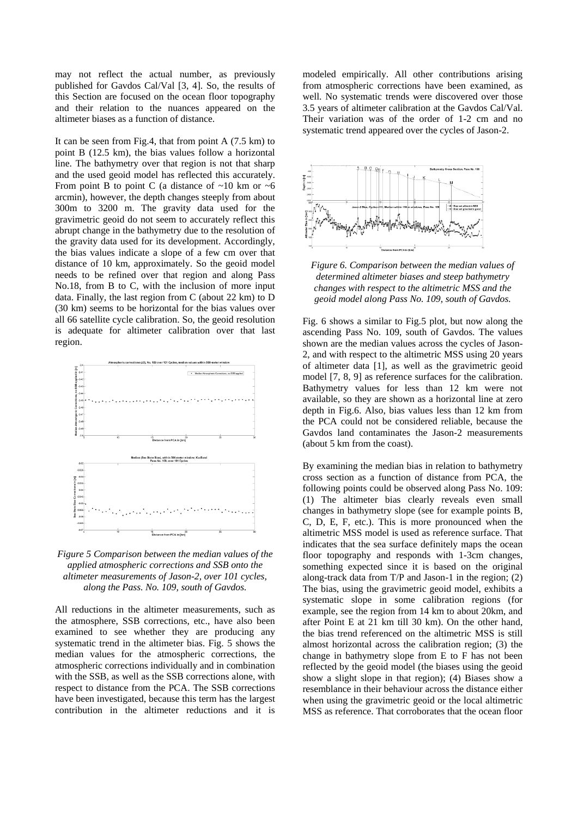may not reflect the actual number, as previously published for Gavdos Cal/Val [3, 4]. So, the results of this Section are focused on the ocean floor topography and their relation to the nuances appeared on the altimeter biases as a function of distance.

It can be seen from Fig.4, that from point A (7.5 km) to point B (12.5 km), the bias values follow a horizontal line. The bathymetry over that region is not that sharp and the used geoid model has reflected this accurately. From point B to point C (a distance of  $\sim$ 10 km or  $\sim$ 6 arcmin), however, the depth changes steeply from about 300m to 3200 m. The gravity data used for the gravimetric geoid do not seem to accurately reflect this abrupt change in the bathymetry due to the resolution of the gravity data used for its development. Accordingly, the bias values indicate a slope of a few cm over that distance of 10 km, approximately. So the geoid model needs to be refined over that region and along Pass No.18, from B to C, with the inclusion of more input data. Finally, the last region from C (about 22 km) to D (30 km) seems to be horizontal for the bias values over all 66 satellite cycle calibration. So, the geoid resolution is adequate for altimeter calibration over that last region.



*Figure 5 Comparison between the median values of the applied atmospheric corrections and SSB onto the altimeter measurements of Jason-2, over 101 cycles, along the Pass. No. 109, south of Gavdos.*

All reductions in the altimeter measurements, such as the atmosphere, SSB corrections, etc., have also been examined to see whether they are producing any systematic trend in the altimeter bias. Fig. 5 shows the median values for the atmospheric corrections, the atmospheric corrections individually and in combination with the SSB, as well as the SSB corrections alone, with respect to distance from the PCA. The SSB corrections have been investigated, because this term has the largest contribution in the altimeter reductions and it is

modeled empirically. All other contributions arising from atmospheric corrections have been examined, as well. No systematic trends were discovered over those 3.5 years of altimeter calibration at the Gavdos Cal/Val. Their variation was of the order of 1-2 cm and no systematic trend appeared over the cycles of Jason-2.



*Figure 6. Comparison between the median values of determined altimeter biases and steep bathymetry changes with respect to the altimetric MSS and the geoid model along Pass No. 109, south of Gavdos.*

Fig. 6 shows a similar to Fig.5 plot, but now along the ascending Pass No. 109, south of Gavdos. The values shown are the median values across the cycles of Jason-2, and with respect to the altimetric MSS using 20 years of altimeter data [1], as well as the gravimetric geoid model [7, 8, 9] as reference surfaces for the calibration. Bathymetry values for less than 12 km were not available, so they are shown as a horizontal line at zero depth in Fig.6. Also, bias values less than 12 km from the PCA could not be considered reliable, because the Gavdos land contaminates the Jason-2 measurements (about 5 km from the coast).

By examining the median bias in relation to bathymetry cross section as a function of distance from PCA, the following points could be observed along Pass No. 109: (1) The altimeter bias clearly reveals even small changes in bathymetry slope (see for example points B, C, D, E, F, etc.). This is more pronounced when the altimetric MSS model is used as reference surface. That indicates that the sea surface definitely maps the ocean floor topography and responds with 1-3cm changes, something expected since it is based on the original along-track data from T/P and Jason-1 in the region; (2) The bias, using the gravimetric geoid model, exhibits a systematic slope in some calibration regions (for example, see the region from 14 km to about 20km, and after Point E at 21 km till 30 km). On the other hand, the bias trend referenced on the altimetric MSS is still almost horizontal across the calibration region; (3) the change in bathymetry slope from E to F has not been reflected by the geoid model (the biases using the geoid show a slight slope in that region); (4) Biases show a resemblance in their behaviour across the distance either when using the gravimetric geoid or the local altimetric MSS as reference. That corroborates that the ocean floor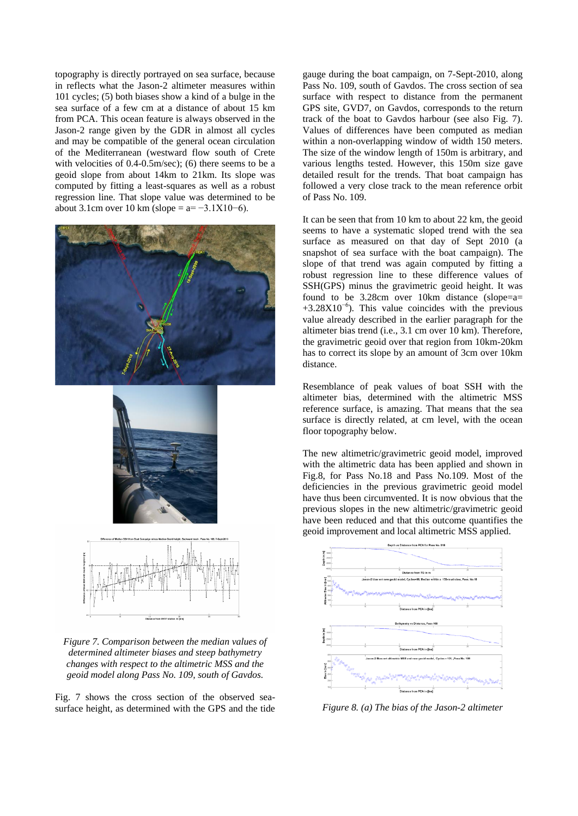topography is directly portrayed on sea surface, because in reflects what the Jason-2 altimeter measures within 101 cycles; (5) both biases show a kind of a bulge in the sea surface of a few cm at a distance of about 15 km from PCA. This ocean feature is always observed in the Jason-2 range given by the GDR in almost all cycles and may be compatible of the general ocean circulation of the Mediterranean (westward flow south of Crete with velocities of 0.4-0.5m/sec); (6) there seems to be a geoid slope from about 14km to 21km. Its slope was computed by fitting a least-squares as well as a robust regression line. That slope value was determined to be about 3.1cm over 10 km (slope =  $a=-3.1X10-6$ ).







*Figure 7. Comparison between the median values of determined altimeter biases and steep bathymetry changes with respect to the altimetric MSS and the geoid model along Pass No. 109, south of Gavdos.*

Fig. 7 shows the cross section of the observed seasurface height, as determined with the GPS and the tide gauge during the boat campaign, on 7-Sept-2010, along Pass No. 109, south of Gavdos. The cross section of sea surface with respect to distance from the permanent GPS site, GVD7, on Gavdos, corresponds to the return track of the boat to Gavdos harbour (see also Fig. 7). Values of differences have been computed as median within a non-overlapping window of width 150 meters. The size of the window length of 150m is arbitrary, and various lengths tested. However, this 150m size gave detailed result for the trends. That boat campaign has followed a very close track to the mean reference orbit of Pass No. 109.

It can be seen that from 10 km to about 22 km, the geoid seems to have a systematic sloped trend with the sea surface as measured on that day of Sept 2010 (a snapshot of sea surface with the boat campaign). The slope of that trend was again computed by fitting a robust regression line to these difference values of SSH(GPS) minus the gravimetric geoid height. It was found to be 3.28cm over 10km distance (slope=a=  $+3.28X10^{-6}$ ). This value coincides with the previous value already described in the earlier paragraph for the altimeter bias trend (i.e., 3.1 cm over 10 km). Therefore, the gravimetric geoid over that region from 10km-20km has to correct its slope by an amount of 3cm over 10km distance.

Resemblance of peak values of boat SSH with the altimeter bias, determined with the altimetric MSS reference surface, is amazing. That means that the sea surface is directly related, at cm level, with the ocean floor topography below.

The new altimetric/gravimetric geoid model, improved with the altimetric data has been applied and shown in Fig.8, for Pass No.18 and Pass No.109. Most of the deficiencies in the previous gravimetric geoid model have thus been circumvented. It is now obvious that the previous slopes in the new altimetric/gravimetric geoid have been reduced and that this outcome quantifies the geoid improvement and local altimetric MSS applied.



*Figure 8. (a) The bias of the Jason-2 altimeter*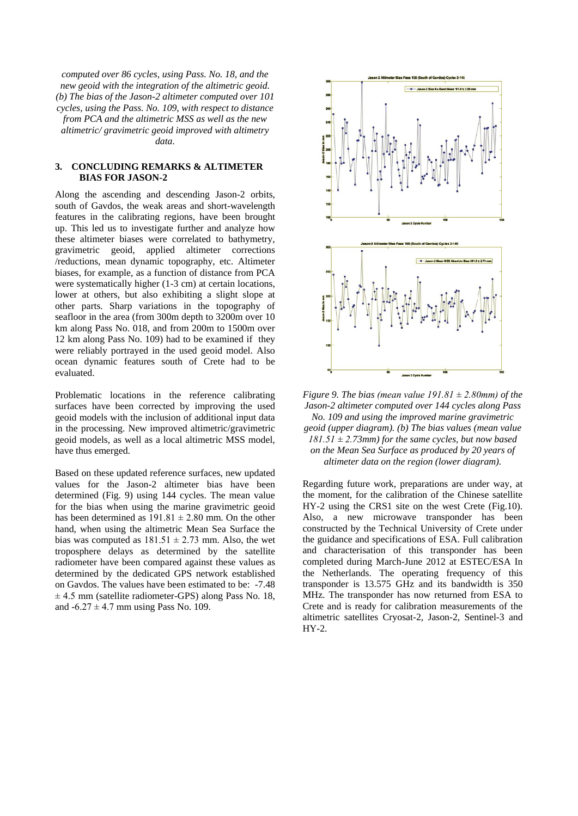*computed over 86 cycles, using Pass. No. 18, and the new geoid with the integration of the altimetric geoid. (b) The bias of the Jason-2 altimeter computed over 101 cycles, using the Pass. No. 109, with respect to distance from PCA and the altimetric MSS as well as the new altimetric/ gravimetric geoid improved with altimetry data.*

#### **3. CONCLUDING REMARKS & ALTIMETER BIAS FOR JASON-2**

Along the ascending and descending Jason-2 orbits, south of Gavdos, the weak areas and short-wavelength features in the calibrating regions, have been brought up. This led us to investigate further and analyze how these altimeter biases were correlated to bathymetry, gravimetric geoid, applied altimeter corrections /reductions, mean dynamic topography, etc. Altimeter biases, for example, as a function of distance from PCA were systematically higher (1-3 cm) at certain locations, lower at others, but also exhibiting a slight slope at other parts. Sharp variations in the topography of seafloor in the area (from 300m depth to 3200m over 10 km along Pass No. 018, and from 200m to 1500m over 12 km along Pass No. 109) had to be examined if they were reliably portrayed in the used geoid model. Also ocean dynamic features south of Crete had to be evaluated.

Problematic locations in the reference calibrating surfaces have been corrected by improving the used geoid models with the inclusion of additional input data in the processing. New improved altimetric/gravimetric geoid models, as well as a local altimetric MSS model, have thus emerged.

Based on these updated reference surfaces, new updated values for the Jason-2 altimeter bias have been determined (Fig. 9) using 144 cycles. The mean value for the bias when using the marine gravimetric geoid has been determined as  $191.81 \pm 2.80$  mm. On the other hand, when using the altimetric Mean Sea Surface the bias was computed as  $181.51 \pm 2.73$  mm. Also, the wet troposphere delays as determined by the satellite radiometer have been compared against these values as determined by the dedicated GPS network established on Gavdos. The values have been estimated to be: -7.48  $\pm$  4.5 mm (satellite radiometer-GPS) along Pass No. 18, and  $-6.27 \pm 4.7$  mm using Pass No. 109.



*Figure 9. The bias (mean value*  $191.81 \pm 2.80$  *mm) of the Jason-2 altimeter computed over 144 cycles along Pass No. 109 and using the improved marine gravimetric geoid (upper diagram). (b) The bias values (mean value 181.51 ± 2.73mm) for the same cycles, but now based on the Mean Sea Surface as produced by 20 years of altimeter data on the region (lower diagram).* 

Regarding future work, preparations are under way, at the moment, for the calibration of the Chinese satellite HY-2 using the CRS1 site on the west Crete (Fig.10). Also, a new microwave transponder has been constructed by the Technical University of Crete under the guidance and specifications of ESA. Full calibration and characterisation of this transponder has been completed during March-June 2012 at ESTEC/ESA In the Netherlands. The operating frequency of this transponder is 13.575 GHz and its bandwidth is 350 MHz. The transponder has now returned from ESA to Crete and is ready for calibration measurements of the altimetric satellites Cryosat-2, Jason-2, Sentinel-3 and HY-2.